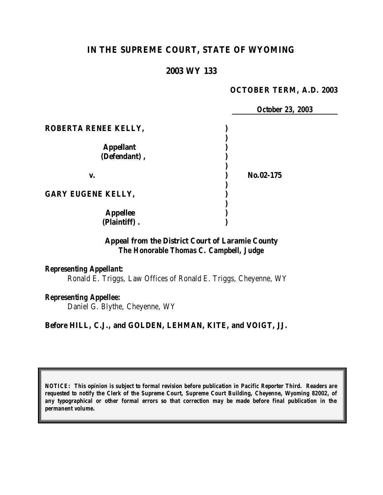# **IN THE SUPREME COURT, STATE OF WYOMING**

#### **2003 WY 133**

#### **OCTOBER TERM, A.D. 2003**

|                           |           | <b>October 23, 2003</b> |
|---------------------------|-----------|-------------------------|
| ROBERTA RENEE KELLY,      |           |                         |
|                           |           |                         |
| <b>Appellant</b>          |           |                         |
| (Defendant),              |           |                         |
| V.                        | No.02-175 |                         |
| <b>GARY EUGENE KELLY,</b> |           |                         |
| <b>Appellee</b>           |           |                         |
| (Plaintiff).              |           |                         |

## **Appeal from the District Court of Laramie County** *The Honorable Thomas C. Campbell, Judge*

#### *Representing Appellant:*

Ronald E. Triggs, Law Offices of Ronald E. Triggs, Cheyenne, WY

#### *Representing Appellee:*

Daniel G. Blythe, Cheyenne, WY

#### **Before HILL, C.J., and GOLDEN, LEHMAN, KITE, and VOIGT, JJ.**

*NOTICE: This opinion is subject to formal revision before publication in Pacific Reporter Third. Readers are requested to notify the Clerk of the Supreme Court, Supreme Court Building, Cheyenne, Wyoming 82002, of any typographical or other formal errors so that correction may be made before final publication in the permanent volume.*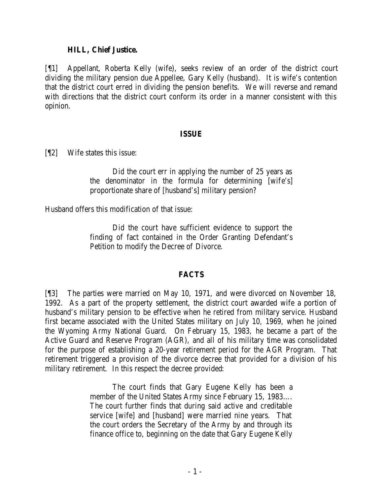#### **HILL, Chief Justice.**

[¶1] Appellant, Roberta Kelly (wife), seeks review of an order of the district court dividing the military pension due Appellee, Gary Kelly (husband). It is wife's contention that the district court erred in dividing the pension benefits. We will reverse and remand with directions that the district court conform its order in a manner consistent with this opinion.

#### **ISSUE**

[¶2] Wife states this issue:

Did the court err in applying the number of 25 years as the denominator in the formula for determining [wife's] proportionate share of [husband's] military pension?

Husband offers this modification of that issue:

Did the court have sufficient evidence to support the finding of fact contained in the Order Granting Defendant's Petition to modify the Decree of Divorce.

#### **FACTS**

[¶3] The parties were married on May 10, 1971, and were divorced on November 18, 1992. As a part of the property settlement, the district court awarded wife a portion of husband's military pension to be effective when he retired from military service. Husband first became associated with the United States military on July 10, 1969, when he joined the Wyoming Army National Guard. On February 15, 1983, he became a part of the Active Guard and Reserve Program (AGR), and all of his military time was consolidated for the purpose of establishing a 20-year retirement period for the AGR Program. That retirement triggered a provision of the divorce decree that provided for a division of his military retirement. In this respect the decree provided:

> The court finds that Gary Eugene Kelly has been a member of the United States Army since February 15, 1983…. The court further finds that during said active and creditable service [wife] and [husband] were married nine years. That the court orders the Secretary of the Army by and through its finance office to, beginning on the date that Gary Eugene Kelly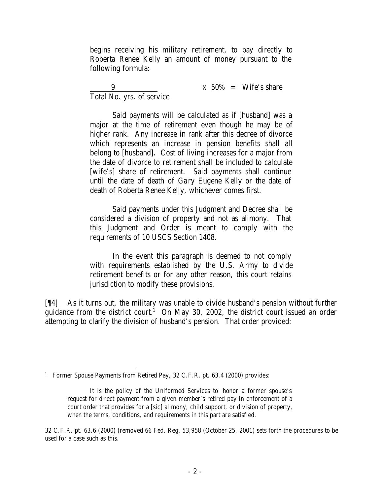begins receiving his military retirement, to pay directly to Roberta Renee Kelly an amount of money pursuant to the following formula:

9  $x 50\% = Wife's share$ Total No. yrs. of service

Said payments will be calculated as if [husband] was a major at the time of retirement even though he may be of higher rank. Any increase in rank after this decree of divorce which represents an increase in pension benefits shall all belong to [husband]. Cost of living increases for a major from the date of divorce to retirement shall be included to calculate [wife's] share of retirement. Said payments shall continue until the date of death of Gary Eugene Kelly or the date of death of Roberta Renee Kelly, whichever comes first.

Said payments under this Judgment and Decree shall be considered a division of property and not as alimony. That this Judgment and Order is meant to comply with the requirements of 10 USCS Section 1408.

In the event this paragraph is deemed to not comply with requirements established by the U.S. Army to divide retirement benefits or for any other reason, this court retains jurisdiction to modify these provisions.

[¶4] As it turns out, the military was unable to divide husband's pension without further guidance from the district court.<sup>1</sup> On May 30, 2002, the district court issued an order attempting to clarify the division of husband's pension. That order provided:

 <sup>1</sup> Former Spouse Payments from Retired Pay, 32 C.F.R. pt. 63.4 (2000) provides:

It is the policy of the Uniformed Services to honor a former spouse's request for direct payment from a given member's retired pay in enforcement of a court order that provides for a [sic] alimony, child support, or division of property, when the terms, conditions, and requirements in this part are satisfied.

<sup>32</sup> C.F.R. pt. 63.6 (2000) (removed 66 Fed. Reg. 53,958 (October 25, 2001) sets forth the procedures to be used for a case such as this.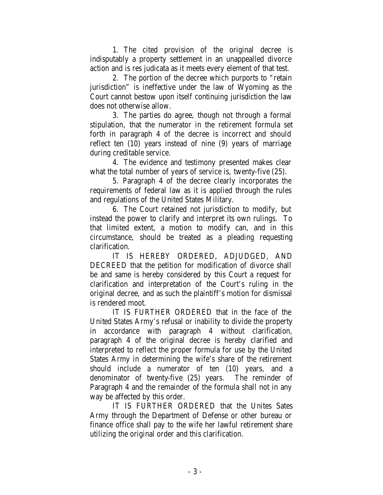1. The cited provision of the original decree is indisputably a property settlement in an unappealled divorce action and is res judicata as it meets every element of that test.

2. The portion of the decree which purports to "retain jurisdiction" is ineffective under the law of Wyoming as the Court cannot bestow upon itself continuing jurisdiction the law does not otherwise allow.

3. The parties do agree, though not through a formal stipulation, that the numerator in the retirement formula set forth in paragraph 4 of the decree is incorrect and should reflect ten (10) years instead of nine (9) years of marriage during creditable service.

4. The evidence and testimony presented makes clear what the total number of years of service is, twenty-five (25).

5. Paragraph 4 of the decree clearly incorporates the requirements of federal law as it is applied through the rules and regulations of the United States Military.

6. The Court retained not jurisdiction to modify, but instead the power to clarify and interpret its own rulings. To that limited extent, a motion to modify can, and in this circumstance, should be treated as a pleading requesting clarification.

IT IS HEREBY ORDERED, ADJUDGED, AND DECREED that the petition for modification of divorce shall be and same is hereby considered by this Court a request for clarification and interpretation of the Court's ruling in the original decree, and as such the plaintiff's motion for dismissal is rendered moot.

IT IS FURTHER ORDERED that in the face of the United States Army's refusal or inability to divide the property in accordance with paragraph 4 without clarification, paragraph 4 of the original decree is hereby clarified and interpreted to reflect the proper formula for use by the United States Army in determining the wife's share of the retirement should include a numerator of ten (10) years, and a denominator of twenty-five (25) years. The reminder of Paragraph 4 and the remainder of the formula shall not in any way be affected by this order.

IT IS FURTHER ORDERED that the Unites Sates Army through the Department of Defense or other bureau or finance office shall pay to the wife her lawful retirement share utilizing the original order and this clarification.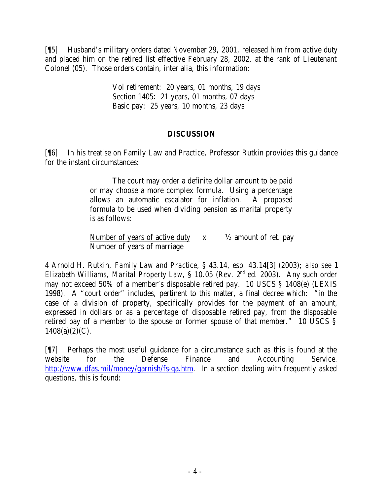[¶5] Husband's military orders dated November 29, 2001, released him from active duty and placed him on the retired list effective February 28, 2002, at the rank of Lieutenant Colonel (05). Those orders contain, inter alia, this information:

> Vol retirement: 20 years, 01 months, 19 days Section 1405: 21 years, 01 months, 07 days Basic pay: 25 years, 10 months, 23 days

### **DISCUSSION**

[¶6] In his treatise on Family Law and Practice, Professor Rutkin provides this guidance for the instant circumstances:

> The court may order a definite dollar amount to be paid or may choose a more complex formula. Using a percentage allows an automatic escalator for inflation. A proposed formula to be used when dividing pension as marital property is as follows:

> Number of years of active duty  $x = \frac{1}{2}$  amount of ret. pay Number of years of marriage

4 Arnold H. Rutkin, *Family Law and Practice*, § 43.14, esp. 43.14[3] (2003); *also see* 1 Elizabeth Williams, *Marital Property Law*, § 10.05 (Rev. 2nd ed. 2003). Any such order may not exceed 50% of a member's disposable retired pay. 10 USCS § 1408(e) (LEXIS 1998). A "court order" includes, pertinent to this matter, a final decree which: "in the case of a division of property, specifically provides for the payment of an amount, expressed in dollars or as a percentage of disposable retired pay, from the disposable retired pay of a member to the spouse or former spouse of that member." 10 USCS §  $1408(a)(2)(C)$ .

[¶7] Perhaps the most useful guidance for a circumstance such as this is found at the website for the Defense Finance and Accounting Service. http://www.dfas.mil/money/garnish/fs-qa.htm. In a section dealing with frequently asked questions, this is found: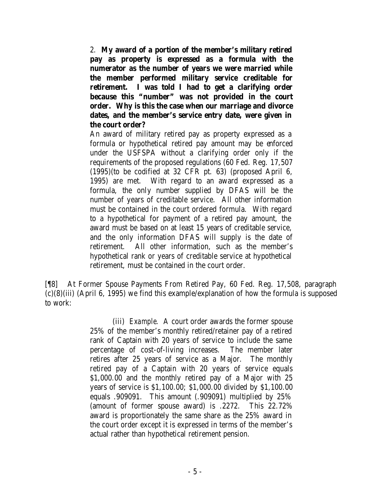2. **My award of a portion of the member's military retired pay as property is expressed as a formula with the numerator as the number of years we were married while the member performed military service creditable for retirement. I was told I had to get a clarifying order because this "number" was not provided in the court order. Why is this the case when our marriage and divorce dates, and the member's service entry date, were given in the court order?**

An award of military retired pay as property expressed as a formula or hypothetical retired pay amount may be enforced under the USFSPA without a clarifying order only if the requirements of the proposed regulations (60 Fed. Reg. 17,507 (1995)(to be codified at 32 CFR pt. 63) (proposed April 6, 1995) are met. With regard to an award expressed as a formula, the only number supplied by DFAS will be the number of years of creditable service. All other information must be contained in the court ordered formula. With regard to a hypothetical for payment of a retired pay amount, the award must be based on at least 15 years of creditable service, and the only information DFAS will supply is the date of retirement. All other information, such as the member's hypothetical rank or years of creditable service at hypothetical retirement, must be contained in the court order.

[¶8] At Former Spouse Payments From Retired Pay, 60 Fed. Reg. 17,508, paragraph (c)(8)(iii) (April 6, 1995) we find this example/explanation of how the formula is supposed to work:

> (iii) *Example*. A court order awards the former spouse 25% of the member's monthly retired/retainer pay of a retired rank of Captain with 20 years of service to include the same percentage of cost-of-living increases. The member later retires after 25 years of service as a Major. The monthly retired pay of a Captain with 20 years of service equals \$1,000.00 and the monthly retired pay of a Major with 25 years of service is \$1,100.00; \$1,000.00 divided by \$1,100.00 equals .909091. This amount (.909091) multiplied by 25% (amount of former spouse award) is .2272. This 22.72% award is proportionately the same share as the 25% award in the court order except it is expressed in terms of the member's actual rather than hypothetical retirement pension.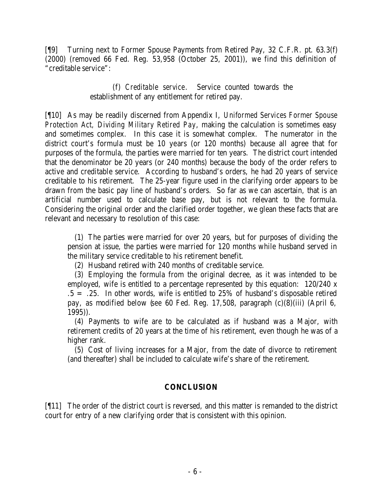[¶9] Turning next to Former Spouse Payments from Retired Pay, 32 C.F.R. pt. 63.3(f) (2000) (removed 66 Fed. Reg. 53,958 (October 25, 2001)), we find this definition of "creditable service":

> (f) *Creditable service*. Service counted towards the establishment of any entitlement for retired pay.

[¶10] As may be readily discerned from Appendix I, *Uniformed Services Former Spouse Protection Act, Dividing Military Retired Pay*, making the calculation is sometimes easy and sometimes complex. In this case it is somewhat complex. The numerator in the district court's formula must be 10 years (or 120 months) because all agree that for purposes of the formula, the parties were married for ten years. The district court intended that the denominator be 20 years (or 240 months) because the body of the order refers to active and creditable service. According to husband's orders, he had 20 years of service creditable to his retirement. The 25-year figure used in the clarifying order appears to be drawn from the basic pay line of husband's orders. So far as we can ascertain, that is an artificial number used to calculate base pay, but is not relevant to the formula. Considering the original order and the clarified order together, we glean these facts that are relevant and necessary to resolution of this case:

 (1) The parties were married for over 20 years, but for purposes of dividing the pension at issue, the parties were married for 120 months while husband served in the military service creditable to his retirement benefit.

(2) Husband retired with 240 months of creditable service.

 (3) Employing the formula from the original decree, as it was intended to be employed, wife is entitled to a percentage represented by this equation: 120/240 x  $.5 = .25$ . In other words, wife is entitled to 25% of husband's disposable retired pay, as modified below (*see* 60 Fed. Reg. 17,508, paragraph (c)(8)(iii) (April 6, 1995)).

 (4) Payments to wife are to be calculated as if husband was a Major, with retirement credits of 20 years at the time of his retirement, even though he was of a higher rank.

 (5) Cost of living increases for a Major, from the date of divorce to retirement (and thereafter) shall be included to calculate wife's share of the retirement.

### **CONCLUSION**

[¶11] The order of the district court is reversed, and this matter is remanded to the district court for entry of a new clarifying order that is consistent with this opinion.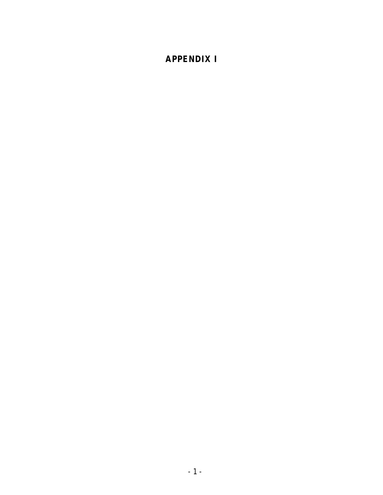# **APPENDIX I**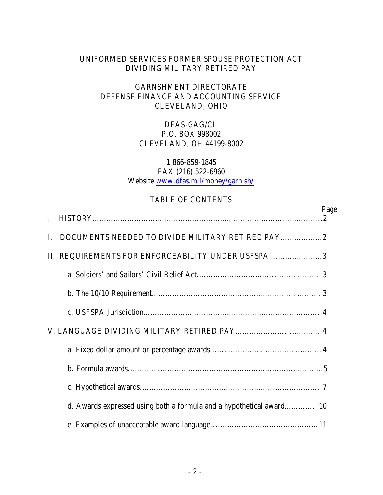# UNIFORMED SERVICES FORMER SPOUSE PROTECTION ACT DIVIDING MILITARY RETIRED PAY

## GARNSHMENT DIRECTORATE DEFENSE FINANCE AND ACCOUNTING SERVICE CLEVELAND, OHIO

# DFAS-GAG/CL P.O. BOX 998002 CLEVELAND, OH 44199-8002

#### 1 866-859-1845 FAX (216) 522-6960 Website www.dfas.mil/money/garnish/

### TABLE OF CONTENTS

| L       |                                                                      | Page |
|---------|----------------------------------------------------------------------|------|
| $\Pi$ . | DOCUMENTS NEEDED TO DIVIDE MILITARY RETIRED PAY                      |      |
|         | III. REQUIREMENTS FOR ENFORCEABILITY UNDER USFSPA 3                  |      |
|         |                                                                      |      |
|         |                                                                      |      |
|         |                                                                      |      |
|         |                                                                      |      |
|         |                                                                      |      |
|         |                                                                      |      |
|         |                                                                      |      |
|         | d. Awards expressed using both a formula and a hypothetical award 10 |      |
|         |                                                                      |      |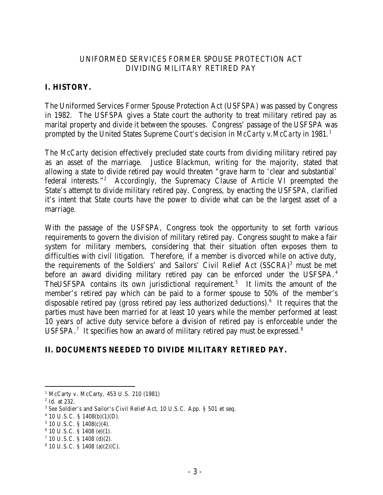## UNIFORMED SERVICES FORMER SPOUSE PROTECTION ACT DIVIDING MILITARY RETIRED PAY

# **I. HISTORY.**

The Uniformed Services Former Spouse Protection Act (USFSPA) was passed by Congress in 1982. The USFSPA gives a State court the authority to treat military retired pay as marital property and divide it between the spouses. Congress' passage of the USFSPA was prompted by the United States Supreme Court's decision in *McCarty v.McCarty* in 1981.<sup>1</sup>

The *McCarty* decision effectively precluded state courts from dividing military retired pay as an asset of the marriage. Justice Blackmun, writing for the majority, stated that allowing a state to divide retired pay would threaten "grave harm to 'clear and substantial' federal interests."<sup>2</sup> Accordingly, the Supremacy Clause of Article VI preempted the State's attempt to divide military retired pay. Congress, by enacting the USFSPA, clarified it's intent that State courts have the power to divide what can be the largest asset of a marriage.

With the passage of the USFSPA, Congress took the opportunity to set forth various requirements to govern the division of military retired pay. Congress sought to make a fair system for military members, considering that their situation often exposes them to difficulties with civil litigation. Therefore, if a member is divorced while on active duty, the requirements of the Soldiers' and Sailors' Civil Relief Act (SSCRA)<sup>3</sup> must be met before an award dividing military retired pay can be enforced under the USFSPA.<sup>4</sup> The USFSPA contains its own jurisdictional requirement.<sup>5</sup> It limits the amount of the member's retired pay which can be paid to a former spouse to 50% of the member's disposable retired pay (gross retired pay less authorized deductions).<sup>6</sup> It requires that the parties must have been married for at least 10 years while the member performed at least 10 years of active duty service before a division of retired pay is enforceable under the USFSPA.<sup>7</sup> It specifies how an award of military retired pay must be expressed.<sup>8</sup>

# **II. DOCUMENTS NEEDED TO DIVIDE MILITARY RETIRED PAY.**

<sup>1</sup> McCarty v. McCarty, 453 U.S. 210 (1981)

<sup>2</sup> Id. at 232.

<sup>3</sup> *See* Soldier's and Sailor's Civil Relief Act, 10 U.S.C. App. § 501 et seq.

 $4$  10 U.S.C. § 1408(b)(1)(D).

 $5$  10 U.S.C. § 1408(c)(4).

<sup>6</sup> 10 U.S.C. § 1408 (e)(1).

 $7$  10 U.S.C. § 1408 (d)(2).

 $8$  10 U.S.C. § 1408 (a)(2)(C).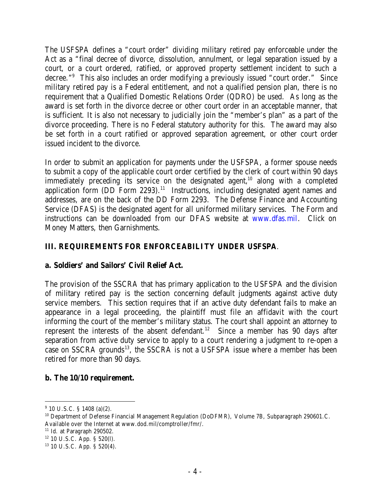The USFSPA defines a "court order" dividing military retired pay enforceable under the Act as a "final decree of divorce, dissolution, annulment, or legal separation issued by a court, or a court ordered, ratified, or approved property settlement incident to such a decree."<sup>9</sup> This also includes an order modifying a previously issued "court order." Since military retired pay is a Federal entitlement, and not a qualified pension plan, there is no requirement that a Qualified Domestic Relations Order (QDRO) be used. As long as the award is set forth in the divorce decree or other court order in an acceptable manner, that is sufficient. It is also not necessary to judicially join the "member's plan" as a part of the divorce proceeding. There is no Federal statutory authority for this. The award may also be set forth in a court ratified or approved separation agreement, or other court order issued incident to the divorce.

In order to submit an application for payments under the USFSPA, a former spouse needs to submit a copy of the applicable court order certified by the clerk of court within 90 days immediately preceding its service on the designated agent,<sup>10</sup> along with a completed application form  $(DD)$  Form  $2293$ .<sup>11</sup> Instructions, including designated agent names and addresses, are on the back of the DD Form 2293. The Defense Finance and Accounting Service (DFAS) is the designated agent for all uniformed military services. The Form and instructions can be downloaded from our DFAS website at www.dfas.mil. Click on Money Matters, then Garnishments.

# **III. REQUIREMENTS FOR ENFORCEABILITY UNDER USFSPA**.

### **a. Soldiers' and Sailors' Civil Relief Act.**

The provision of the SSCRA that has primary application to the USFSPA and the division of military retired pay is the section concerning default judgments against active duty service members. This section requires that if an active duty defendant fails to make an appearance in a legal proceeding, the plaintiff must file an affidavit with the court informing the court of the member's military status. The court shall appoint an attorney to represent the interests of the absent defendant.<sup>12</sup> Since a member has 90 days after separation from active duty service to apply to a court rendering a judgment to re-open a case on SSCRA grounds<sup>13</sup>, the SSCRA is not a USFSPA issue where a member has been retired for more than 90 days.

### **b. The 10/10 requirement.**

<sup>&</sup>lt;sup>9</sup> 10 U.S.C. § 1408 (a)(2).

<sup>&</sup>lt;sup>10</sup> Department of Defense Financial Management Regulation (DoDFMR), Volume 7B, Subparagraph 290601.C. Available over the Internet at www.dod.mil/comptroller/fmr/.

 $11$  Id. at Paragraph 290502.

 $12$  10 U.S.C. App. § 520(l).

<sup>13</sup> 10 U.S.C. App. § 520(4).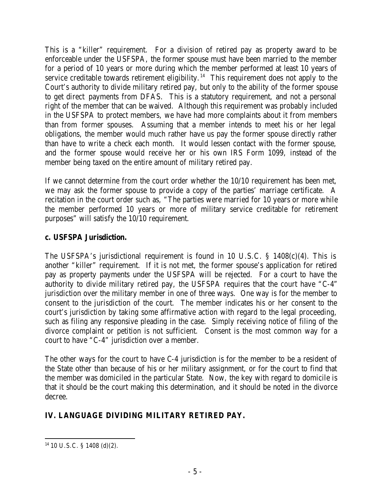This is a "killer" requirement. For a division of retired pay as property award to be enforceable under the USFSPA, the former spouse must have been married to the member for a period of 10 years or more during which the member performed at least 10 years of service creditable towards retirement eligibility.<sup>14</sup> This requirement does not apply to the Court's authority to divide military retired pay, but only to the ability of the former spouse to get direct payments from DFAS. This is a statutory requirement, and not a personal right of the member that can be waived. Although this requirement was probably included in the USFSPA to protect members, we have had more complaints about it from members than from former spouses. Assuming that a member intends to meet his or her legal obligations, the member would much rather have us pay the former spouse directly rather than have to write a check each month. It would lessen contact with the former spouse, and the former spouse would receive her or his own IRS Form 1099, instead of the member being taxed on the entire amount of military retired pay.

If we cannot determine from the court order whether the 10/10 requirement has been met, we may ask the former spouse to provide a copy of the parties' marriage certificate. A recitation in the court order such as, "The parties were married for 10 years or more while the member performed 10 years or more of military service creditable for retirement purposes" will satisfy the 10/10 requirement.

## **c. USFSPA Jurisdiction.**

The USFSPA's jurisdictional requirement is found in 10 U.S.C. § 1408(c)(4). This is another "killer" requirement. If it is not met, the former spouse's application for retired pay as property payments under the USFSPA will be rejected. For a court to have the authority to divide military retired pay, the USFSPA requires that the court have "C-4" jurisdiction over the military member in one of three ways. One way is for the member to consent to the jurisdiction of the court. The member indicates his or her consent to the court's jurisdiction by taking some affirmative action with regard to the legal proceeding, such as filing any responsive pleading in the case. Simply receiving notice of filing of the divorce complaint or petition is not sufficient. Consent is the most common way for a court to have "C-4" jurisdiction over a member.

The other ways for the court to have C-4 jurisdiction is for the member to be a resident of the State other than because of his or her military assignment, or for the court to find that the member was domiciled in the particular State. Now, the key with regard to domicile is that it should be the court making this determination, and it should be noted in the divorce decree.

# **IV. LANGUAGE DIVIDING MILITARY RETIRED PAY.**

 14 10 U.S.C. § 1408 (d)(2).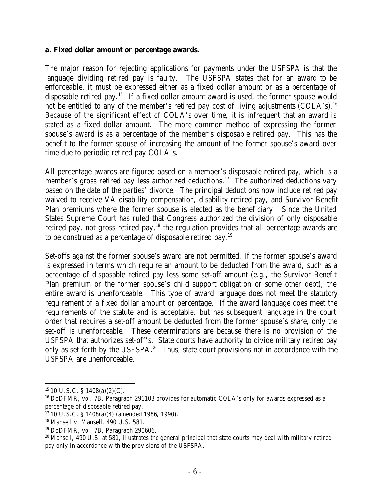#### **a. Fixed dollar amount or percentage awards.**

The major reason for rejecting applications for payments under the USFSPA is that the language dividing retired pay is faulty. The USFSPA states that for an award to be enforceable, it must be expressed either as a fixed dollar amount or as a percentage of disposable retired pay.<sup>15</sup> If a fixed dollar amount award is used, the former spouse would not be entitled to any of the member's retired pay cost of living adjustments  $(COLA's).$ <sup>16</sup> Because of the significant effect of COLA's over time, it is infrequent that an award is stated as a fixed dollar amount. The more common method of expressing the former spouse's award is as a percentage of the member's disposable retired pay. This has the benefit to the former spouse of increasing the amount of the former spouse's award over time due to periodic retired pay COLA's.

All percentage awards are figured based on a member's disposable retired pay, which is a member's gross retired pay less authorized deductions.<sup>17</sup> The authorized deductions vary based on the date of the parties' divorce. The principal deductions now include retired pay waived to receive VA disability compensation, disability retired pay, and Survivor Benefit Plan premiums where the former spouse is elected as the beneficiary. Since the United States Supreme Court has ruled that Congress authorized the division of only disposable retired pay, not gross retired pay,<sup>18</sup> the regulation provides that all percentage awards are to be construed as a percentage of disposable retired pay.<sup>19</sup>

Set-offs against the former spouse's award are not permitted. If the former spouse's award is expressed in terms which require an amount to be deducted from the award, such as a percentage of disposable retired pay less some set-off amount (e.g., the Survivor Benefit Plan premium or the former spouse's child support obligation or some other debt), the entire award is unenforceable. This type of award language does not meet the statutory requirement of a fixed dollar amount or percentage. If the award language does meet the requirements of the statute and is acceptable, but has subsequent language in the court order that requires a set-off amount be deducted from the former spouse's share, only the set-off is unenforceable. These determinations are because there is no provision of the USFSPA that authorizes set-off's. State courts have authority to divide military retired pay only as set forth by the USFSPA.<sup>20</sup> Thus, state court provisions not in accordance with the USFSPA are unenforceable.

 $15$  10 U.S.C. § 1408(a)(2)(C).

<sup>&</sup>lt;sup>16</sup> DoDFMR, vol. 7B, Paragraph 291103 provides for automatic COLA's only for awards expressed as a percentage of disposable retired pay.

<sup>17</sup> 10 U.S.C. § 1408(a)(4) (amended 1986, 1990).

<sup>18</sup> Mansell v. Mansell, 490 U.S. 581.

<sup>19</sup> DoDFMR, vol. 7B, Paragraph 290606.

<sup>&</sup>lt;sup>20</sup> Mansell, 490 U.S. at 581, illustrates the general principal that state courts may deal with military retired pay only in accordance with the provisions of the USFSPA.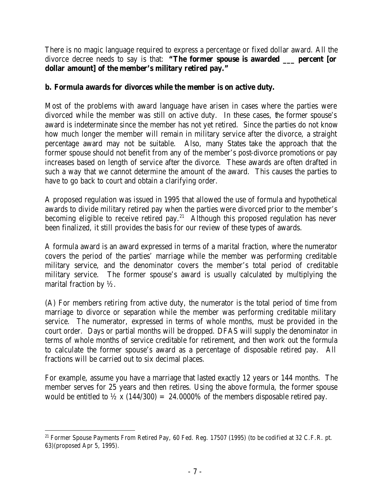There is no magic language required to express a percentage or fixed dollar award. All the divorce decree needs to say is that: **"The former spouse is awarded \_\_\_ percent [or dollar amount] of the member's military retired pay."**

## **b. Formula awards for divorces while the member is on active duty.**

Most of the problems with award language have arisen in cases where the parties were divorced while the member was still on active duty. In these cases, the former spouse's award is indeterminate since the member has not yet retired. Since the parties do not know how much longer the member will remain in military service after the divorce, a straight percentage award may not be suitable. Also, many States take the approach that the former spouse should not benefit from any of the member's post-divorce promotions or pay increases based on length of service after the divorce. These awards are often drafted in such a way that we cannot determine the amount of the award. This causes the parties to have to go back to court and obtain a clarifying order.

A proposed regulation was issued in 1995 that allowed the use of formula and hypothetical awards to divide military retired pay when the parties were divorced prior to the member's becoming eligible to receive retired pay.<sup>21</sup> Although this proposed regulation has never been finalized, it still provides the basis for our review of these types of awards.

A formula award is an award expressed in terms of a marital fraction, where the numerator covers the period of the parties' marriage while the member was performing creditable military service, and the denominator covers the member's total period of creditable military service. The former spouse's award is usually calculated by multiplying the marital fraction by  $\frac{1}{2}$ .

(A) For members retiring from active duty, the numerator is the total period of time from marriage to divorce or separation while the member was performing creditable military service. The numerator, expressed in terms of whole months, must be provided in the court order. Days or partial months will be dropped. DFAS will supply the denominator in terms of whole months of service creditable for retirement, and then work out the formula to calculate the former spouse's award as a percentage of disposable retired pay. All fractions will be carried out to six decimal places.

For example, assume you have a marriage that lasted exactly 12 years or 144 months. The member serves for 25 years and then retires. Using the above formula, the former spouse would be entitled to  $\frac{1}{2}$  x (144/300) = 24.0000% of the members disposable retired pay.

<sup>&</sup>lt;sup>21</sup> Former Spouse Payments From Retired Pay, 60 Fed. Reg. 17507 (1995) (to be codified at 32 C.F.R. pt. 63)(proposed Apr 5, 1995).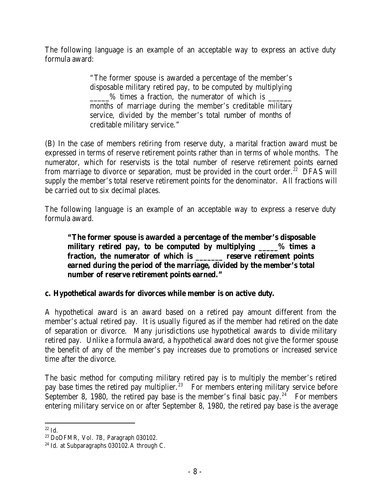The following language is an example of an acceptable way to express an active duty formula award:

> "The former spouse is awarded a percentage of the member's disposable military retired pay, to be computed by multiplying  $\%$  times a fraction, the numerator of which is months of marriage during the member's creditable military service, divided by the member's total number of months of creditable military service."

(B) In the case of members retiring from reserve duty, a marital fraction award must be expressed in terms of reserve retirement points rather than in terms of whole months. The numerator, which for reservists is the total number of reserve retirement points earned from marriage to divorce or separation, must be provided in the court order.<sup>22</sup> DFAS will supply the member's total reserve retirement points for the denominator. All fractions will be carried out to six decimal places.

The following language is an example of an acceptable way to express a reserve duty formula award.

**"The former spouse is awarded a percentage of the member's disposable military retired pay, to be computed by multiplying \_\_\_\_\_% times a fraction, the numerator of which is \_\_\_\_\_\_\_ reserve retirement points earned during the period of the marriage, divided by the member's total number of reserve retirement points earned."**

# **c. Hypothetical awards for divorces while member is on active duty.**

A hypothetical award is an award based on a retired pay amount different from the member's actual retired pay. It is usually figured as if the member had retired on the date of separation or divorce. Many jurisdictions use hypothetical awards to divide military retired pay. Unlike a formula award, a hypothetical award does not give the former spouse the benefit of any of the member's pay increases due to promotions or increased service time after the divorce.

The basic method for computing military retired pay is to multiply the member's retired pay base times the retired pay multiplier.<sup>23</sup> For members entering military service before September 8, 1980, the retired pay base is the member's final basic pay.<sup>24</sup> For members entering military service on or after September 8, 1980, the retired pay base is the average

  $22$  Id.

<sup>23</sup> DoDFMR, Vol. 7B, Paragraph 030102.

<sup>&</sup>lt;sup>24</sup> Id. at Subparagraphs 030102.A through C.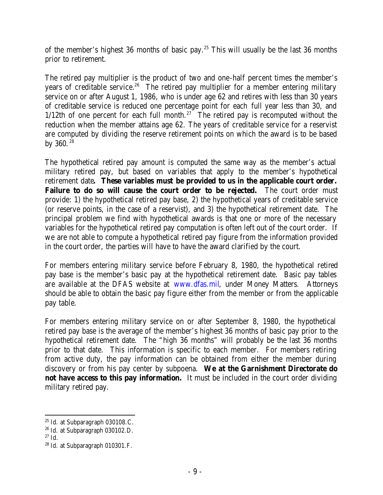of the member's highest 36 months of basic pay.<sup>25</sup> This will usually be the last 36 months prior to retirement.

The retired pay multiplier is the product of two and one-half percent times the member's years of creditable service.<sup>26</sup> The retired pay multiplier for a member entering military service on or after August 1, 1986, who is under age 62 and retires with less than 30 years of creditable service is reduced one percentage point for each full year less than 30, and  $1/12$ th of one percent for each full month.<sup>27</sup> The retired pay is recomputed without the reduction when the member attains age 62. The years of creditable service for a reservist are computed by dividing the reserve retirement points on which the award is to be based by 360. <sup>28</sup>

The hypothetical retired pay amount is computed the same way as the member's actual military retired pay, but based on variables that apply to the member's hypothetical retirement date**. These variables must be provided to us in the applicable court order. Failure to do so will cause the court order to be rejected.** The court order must provide: 1) the hypothetical retired pay base, 2) the hypothetical years of creditable service (or reserve points, in the case of a reservist), and 3) the hypothetical retirement date. The principal problem we find with hypothetical awards is that one or more of the necessary variables for the hypothetical retired pay computation is often left out of the court order. If we are not able to compute a hypothetical retired pay figure from the information provided in the court order, the parties will have to have the award clarified by the court.

For members entering military service before February 8, 1980, the hypothetical retired pay base is the member's basic pay at the hypothetical retirement date. Basic pay tables are available at the DFAS website at www.dfas.mil, under Money Matters. Attorneys should be able to obtain the basic pay figure either from the member or from the applicable pay table.

For members entering military service on or after September 8, 1980, the hypothetical retired pay base is the average of the member's highest 36 months of basic pay prior to the hypothetical retirement date. The "high 36 months" will probably be the last 36 months prior to that date. This information is specific to each member. For members retiring from active duty, the pay information can be obtained from either the member during discovery or from his pay center by subpoena. **We at the Garnishment Directorate do not have access to this pay information.** It must be included in the court order dividing military retired pay.

<sup>&</sup>lt;sup>25</sup> Id. at Subparagraph 030108.C.

<sup>26</sup> Id. at Subparagraph 030102.D.

 $27$  Id.

<sup>28</sup> Id. at Subparagraph 010301.F.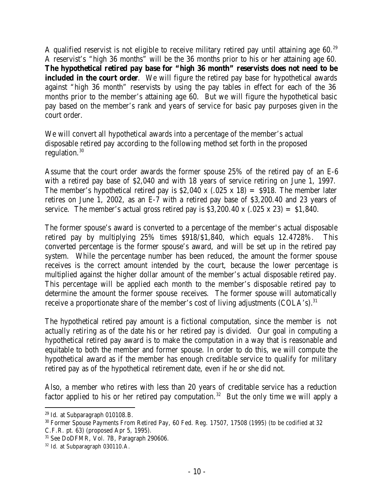A qualified reservist is not eligible to receive military retired pay until attaining age  $60.^{29}$ A reservist's "high 36 months" will be the 36 months prior to his or her attaining age 60. **The hypothetical retired pay base for "high 36 month" reservists does not need to be included in the court order**. We will figure the retired pay base for hypothetical awards against "high 36 month" reservists by using the pay tables in effect for each of the 36 months prior to the member's attaining age 60. But we will figure the hypothetical basic pay based on the member's rank and years of service for basic pay purposes given in the court order.

We will convert all hypothetical awards into a percentage of the member's actual disposable retired pay according to the following method set forth in the proposed regulation.<sup>30</sup>

Assume that the court order awards the former spouse 25% of the retired pay of an E-6 with a retired pay base of \$2,040 and with 18 years of service retiring on June 1, 1997. The member's hypothetical retired pay is \$2,040 x (.025 x 18) = \$918. The member later retires on June 1, 2002, as an E-7 with a retired pay base of \$3,200.40 and 23 years of service. The member's actual gross retired pay is  $$3,200.40 \times (.025 \times 23) = $1,840$ .

The former spouse's award is converted to a percentage of the member's actual disposable retired pay by multiplying 25% times \$918/\$1,840, which equals 12.4728%. This converted percentage is the former spouse's award, and will be set up in the retired pay system. While the percentage number has been reduced, the amount the former spouse receives is the correct amount intended by the court, because the lower percentage is multiplied against the higher dollar amount of the member's actual disposable retired pay. This percentage will be applied each month to the member's disposable retired pay to determine the amount the former spouse receives. The former spouse will automatically receive a proportionate share of the member's cost of living adjustments  $(COLA's).$ <sup>31</sup>

The hypothetical retired pay amount is a fictional computation, since the member is not actually retiring as of the date his or her retired pay is divided. Our goal in computing a hypothetical retired pay award is to make the computation in a way that is reasonable and equitable to both the member and former spouse. In order to do this, we will compute the hypothetical award as if the member has enough creditable service to qualify for military retired pay as of the hypothetical retirement date, even if he or she did not.

Also, a member who retires with less than 20 years of creditable service has a reduction factor applied to his or her retired pay computation.<sup>32</sup> But the only time we will apply a

 $29$  Id. at Subparagraph 010108.B.

<sup>30</sup> Former Spouse Payments From Retired Pay, 60 Fed. Reg. 17507, 17508 (1995) (to be codified at 32 C.F.R. pt. 63) (proposed Apr 5, 1995).

<sup>31</sup> See DoDFMR, Vol. 7B, Paragraph 290606.

<sup>32</sup> Id. at Subparagraph 030110.A.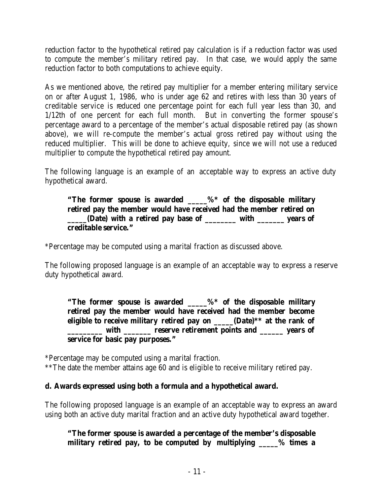reduction factor to the hypothetical retired pay calculation is if a reduction factor was used to compute the member's military retired pay. In that case, we would apply the same reduction factor to both computations to achieve equity.

As we mentioned above, the retired pay multiplier for a member entering military service on or after August 1, 1986, who is under age 62 and retires with less than 30 years of creditable service is reduced one percentage point for each full year less than 30, and 1/12th of one percent for each full month. But in converting the former spouse's percentage award to a percentage of the member's actual disposable retired pay (as shown above), we will re-compute the member's actual gross retired pay without using the reduced multiplier. This will be done to achieve equity, since we will not use a reduced multiplier to compute the hypothetical retired pay amount.

The following language is an example of an acceptable way to express an active duty hypothetical award.

## **"The former spouse is awarded \_\_\_\_\_%\* of the disposable military retired pay the member would have received had the member retired on \_\_\_\_\_(Date) with a retired pay base of \_\_\_\_\_\_\_\_ with \_\_\_\_\_\_\_ years of creditable service."**

\*Percentage may be computed using a marital fraction as discussed above.

The following proposed language is an example of an acceptable way to express a reserve duty hypothetical award.

**"The former spouse is awarded \_\_\_\_\_%\* of the disposable military retired pay the member would have received had the member become eligible to receive military retired pay on (Date)**\*\* at the rank of with **the contract reserve retirement points and vears of service for basic pay purposes."**

\*Percentage may be computed using a marital fraction.

\*\*The date the member attains age 60 and is eligible to receive military retired pay.

# **d. Awards expressed using both a formula and a hypothetical award.**

The following proposed language is an example of an acceptable way to express an award using both an active duty marital fraction and an active duty hypothetical award together.

**"The former spouse is awarded a percentage of the member's disposable military retired pay, to be computed by multiplying \_\_\_\_\_% times a**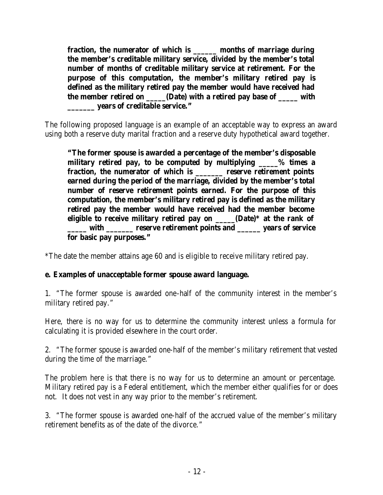**fraction, the numerator of which is \_\_\_\_\_\_ months of marriage during the member's creditable military service, divided by the member's total number of months of creditable military service at retirement. For the purpose of this computation, the member's military retired pay is defined as the military retired pay the member would have received had the member retired on**  (Date) with a retired pay base of with **\_\_\_\_\_\_\_ years of creditable service."**

The following proposed language is an example of an acceptable way to express an award using both a reserve duty marital fraction and a reserve duty hypothetical award together.

**"The former spouse is awarded a percentage of the member's disposable military retired pay, to be computed by multiplying \_\_\_\_\_% times a fraction, the numerator of which is \_\_\_\_\_\_\_ reserve retirement points earned during the period of the marriage, divided by the member's total number of reserve retirement points earned. For the purpose of this computation, the member's military retired pay is defined as the military retired pay the member would have received had the member become eligible to receive military retired pay on \_\_\_\_\_(Date)\* at the rank of**  with \_\_\_\_\_\_ reserve retirement points and \_\_\_\_\_ years of service **for basic pay purposes."**

\*The date the member attains age 60 and is eligible to receive military retired pay.

### **e. Examples of unacceptable former spouse award language.**

1. "The former spouse is awarded one-half of the community interest in the member's military retired pay."

Here, there is no way for us to determine the community interest unless a formula for calculating it is provided elsewhere in the court order.

2. "The former spouse is awarded one-half of the member's military retirement that vested during the time of the marriage."

The problem here is that there is no way for us to determine an amount or percentage. Military retired pay is a Federal entitlement, which the member either qualifies for or does not. It does not vest in any way prior to the member's retirement.

3. "The former spouse is awarded one-half of the accrued value of the member's military retirement benefits as of the date of the divorce."